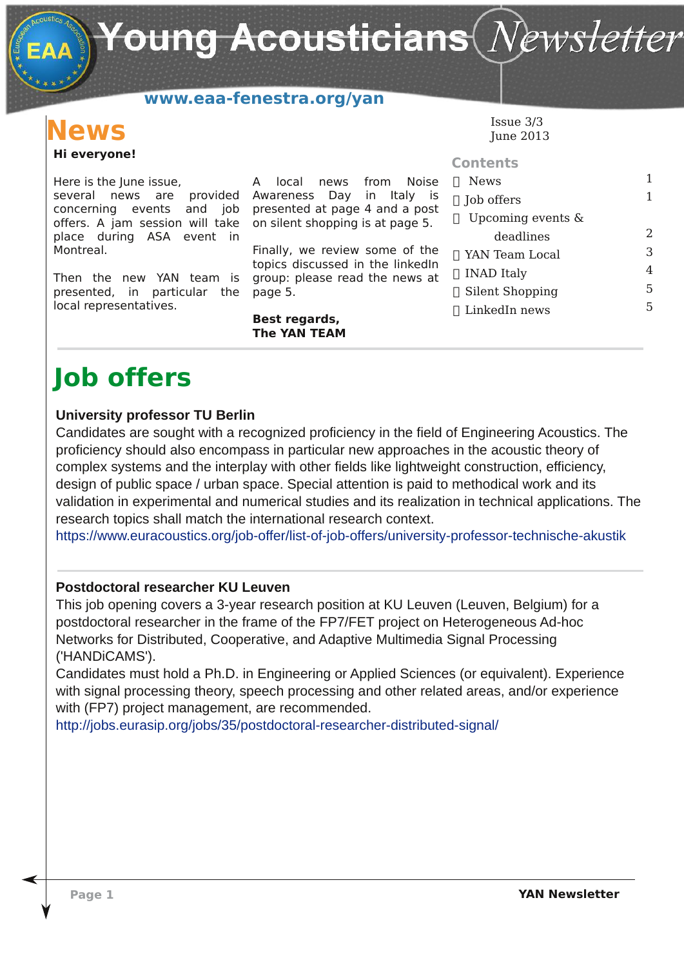Young Acousticians $(\mathit{N}\!\mathit{ews}$ letter

### **www.eaa-fenestra.org/yan**

### **Hi everyone! News**

Here is the June issue, several news are provided Awareness Day in Italy is concerning events and job presented at page 4 and a post offers. A jam session will take on silent shopping is at page 5. place during ASA event in Montreal.

Then the new YAN team is group: please read the news at presented, in particular the page 5. local representatives.

A local news from Noise

Finally, we review some of the topics discussed in the linkedIn

#### **Best regards, The YAN TEAM**

Issue 3/3 June 2013

| <b>Contents</b>        |   |
|------------------------|---|
| <b>News</b>            | 1 |
| Job offers             | 1 |
| Upcoming events $\&$   |   |
| deadlines              | 2 |
| YAN Team Local         | З |
| INAD Italy             | 4 |
| <b>Silent Shopping</b> | 5 |
| LinkedIn news          |   |
|                        |   |

## **Job offers**

#### **University professor TU Berlin**

Candidates are sought with a recognized proficiency in the field of Engineering Acoustics. The proficiency should also encompass in particular new approaches in the acoustic theory of complex systems and the interplay with other fields like lightweight construction, efficiency, design of public space / urban space. Special attention is paid to methodical work and its validation in experimental and numerical studies and its realization in technical applications. The research topics shall match the international research context.

https://www.euracoustics.org/job-offer/list-of-job-offers/university-professor-technische-akustik

#### **Postdoctoral researcher KU Leuven**

This job opening covers a 3year research position at KU Leuven (Leuven, Belgium) for a postdoctoral researcher in the frame of the FP7/FET project on Heterogeneous Ad-hoc Networks for Distributed, Cooperative, and Adaptive Multimedia Signal Processing ('HANDiCAMS').

Candidates must hold a Ph.D. in Engineering or Applied Sciences (or equivalent). Experience with signal processing theory, speech processing and other related areas, and/or experience with (FP7) project management, are recommended.

http://jobs.eurasip.org/jobs/35/postdoctoral-researcher-distributed-signal/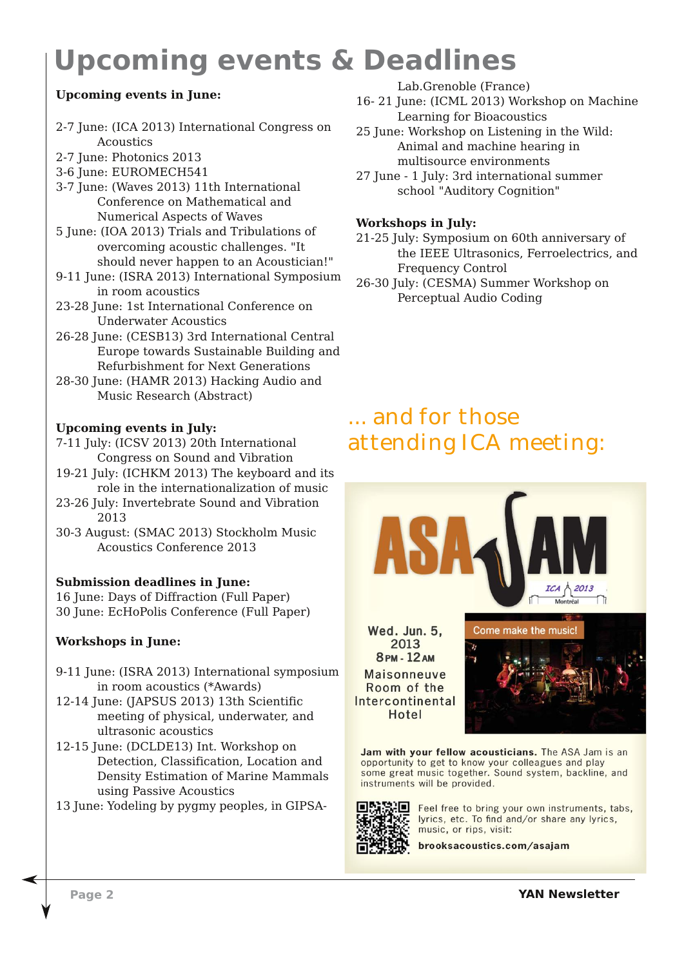# **Upcoming events & Deadlines**

#### **Upcoming events in June:**

- 2-7 June: (ICA 2013) International Congress on Acoustics
- 2-7 June: Photonics 2013
- 3-6 June: EUROMECH541
- 3-7 June: (Waves 2013) 11th International Conference on Mathematical and Numerical Aspects of Waves
- 5 June: (IOA 2013) Trials and Tribulations of overcoming acoustic challenges. "It should never happen to an Acoustician!"
- 9-11 June: (ISRA 2013) International Symposium in room acoustics
- 23-28 June: 1st International Conference on Underwater Acoustics
- 26-28 June: (CESB13) 3rd International Central Europe towards Sustainable Building and Refurbishment for Next Generations
- 28-30 June: (HAMR 2013) Hacking Audio and Music Research (Abstract)

#### **Upcoming events in July:**

- 7-11 July: (ICSV 2013) 20th International Congress on Sound and Vibration
- 19-21 July: (ICHKM 2013) The keyboard and its role in the internationalization of music
- 23-26 July: Invertebrate Sound and Vibration 2013
- 30-3 August: (SMAC 2013) Stockholm Music Acoustics Conference 2013

#### **Submission deadlines in June:**

16 June: Days of Diffraction (Full Paper) 30 June: EcHoPolis Conference (Full Paper)

**Workshops in June:**

- 9-11 June: (ISRA 2013) International symposium in room acoustics (\*Awards)
- 12-14 June: (JAPSUS 2013) 13th Scientific meeting of physical, underwater, and ultrasonic acoustics
- 12-15 June: (DCLDE13) Int. Workshop on Detection, Classification, Location and Density Estimation of Marine Mammals using Passive Acoustics

13 June: Yodeling by pygmy peoples, in GIPSA-

Lab.Grenoble (France)

- 16- 21 June: (ICML 2013) Workshop on Machine Learning for Bioacoustics
- 25 June: Workshop on Listening in the Wild: Animal and machine hearing in multisource environments
- 27 June 1 July: 3rd international summer school "Auditory Cognition"

#### **Workshops in July:**

21-25 July: Symposium on 60th anniversary of the IEEE Ultrasonics, Ferroelectrics, and Frequency Control

26-30 July: (CESMA) Summer Workshop on Perceptual Audio Coding

### ... and for those attending ICA meeting:



Wed. Jun. 5, 2013 8 PM - 12 AM Maisonneuve Room of the Intercontinental Hotel



Jam with your fellow acousticians. The ASA Jam is an opportunity to get to know your colleagues and play<br>some great music together. Sound system, backline, and instruments will be provided.



Feel free to bring your own instruments, tabs, lyrics, etc. To find and/or share any lyrics, music, or rips, visit:

brooksacoustics.com/asajam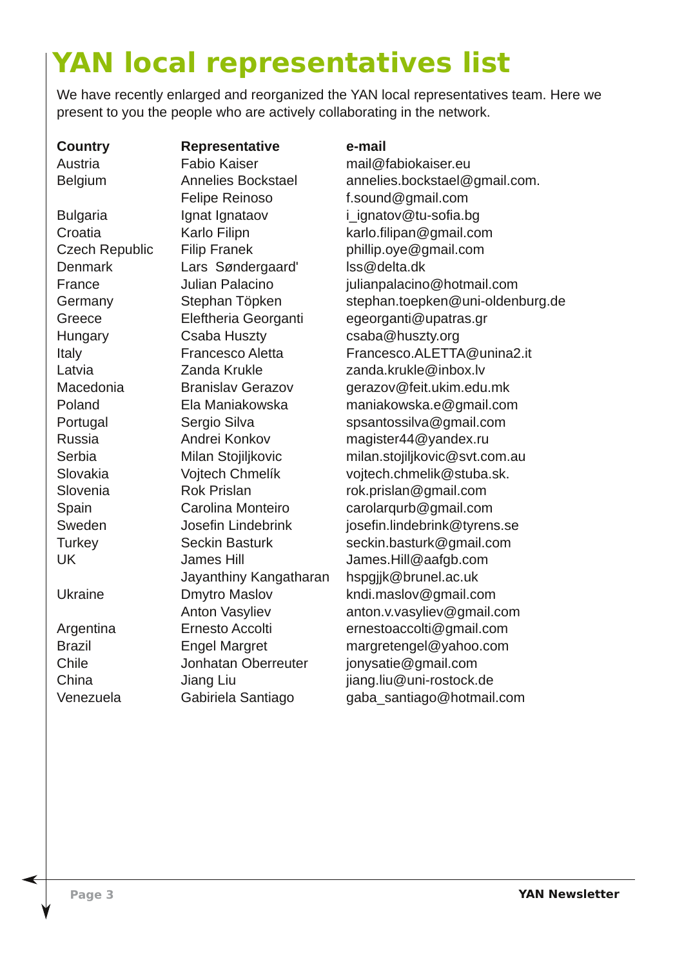# **YAN local representatives list**

We have recently enlarged and reorganized the YAN local representatives team. Here we present to you the people who are actively collaborating in the network.

**Country Representative <b>e-mail** Austria Fabio Kaiser mail@fabiokaiser.eu Felipe Reinoso f.sound@gmail.com Bulgaria **Ignat Ignataov** i ignatov@tu-sofia.bg Denmark Lars Søndergaard' lss@delta.dk Hungary Csaba Huszty csaba@huszty.org Jayanthiny Kangatharan hspgjjk@brunel.ac.uk Chile Jonhatan Oberreuter jonysatie@gmail.com

Belgium Annelies Bockstael annelies.bockstael@gmail.com. Croatia Karlo Filipn karlo.filipan@gmail.com Czech Republic Filip Franek phillip.oye@gmail.com France **Julian Palacino julianpalacino@hotmail.com** Germany Stephan Töpken stephan.toepken@uni-oldenburg.de Greece Eleftheria Georganti egeorganti@upatras.gr Italy Francesco Aletta Francesco.ALETTA@unina2.it Latvia Zanda Krukle zanda.krukle@inbox.lv Macedonia Branislav Gerazov gerazov@feit.ukim.edu.mk Poland Ela Maniakowska maniakowska.e@gmail.com Portugal Sergio Silva spsantossilva@gmail.com Russia Andrei Konkov magister44@yandex.ru Serbia Milan Stojiljkovic milan.stojiljkovic@svt.com.au Slovakia Vojtech Chmelík vojtech.chmelik@stuba.sk. Slovenia **Rok Prislan** rok.prislan@gmail.com Spain Carolina Monteiro carolarqurb@gmail.com Sweden Josefin Lindebrink josefin.lindebrink@tyrens.se Turkey Seckin Basturk seckin.basturk@gmail.com UK James Hill James.Hill@aafgb.com Ukraine **Dmytro Maslov** kndi.maslov@gmail.com Anton Vasyliev anton.v.vasyliev@gmail.com Argentina Ernesto Accolti ernestoaccolti@gmail.com Brazil Engel Margret margretengel@yahoo.com China Jiang Liu jiang.liu@uni-rostock.de Venezuela Gabiriela Santiago gaba\_santiago@hotmail.com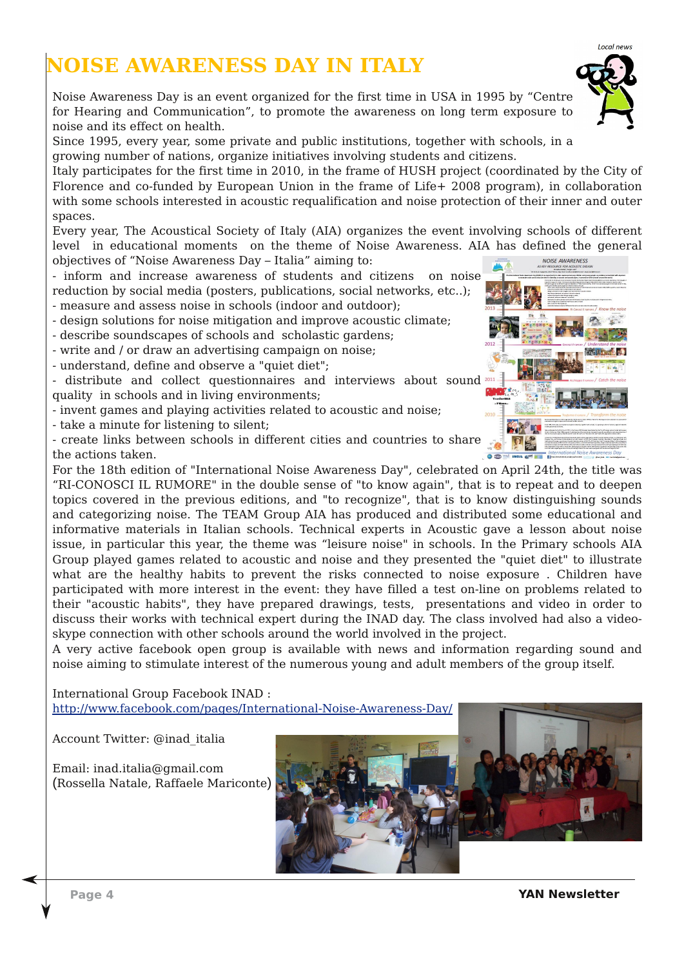### **NOISE AWARENESS DAY IN ITALY**

Noise Awareness Day is an event organized for the first time in USA in 1995 by "Centre for Hearing and Communication", to promote the awareness on long term exposure to noise and its effect on health.

Since 1995, every year, some private and public institutions, together with schools, in a growing number of nations, organize initiatives involving students and citizens.

Italy participates for the first time in 2010, in the frame of HUSH project (coordinated by the City of Florence and co-funded by European Union in the frame of Life+ 2008 program), in collaboration with some schools interested in acoustic requalification and noise protection of their inner and outer spaces.

Every year, The Acoustical Society of Italy (AIA) organizes the event involving schools of different level in educational moments on the theme of Noise Awareness. AIA has defined the general NOISE AWARENESS objectives of "Noise Awareness Day – Italia" aiming to:

- inform and increase awareness of students and citizens on noise reduction by social media (posters, publications, social networks, etc..);

- measure and assess noise in schools (indoor and outdoor);

- design solutions for noise mitigation and improve acoustic climate;
- describe soundscapes of schools and scholastic gardens;
- write and / or draw an advertising campaign on noise;

- understand, define and observe a "quiet diet";

- distribute and collect questionnaires and interviews about sound quality in schools and in living environments;
- invent games and playing activities related to acoustic and noise;
- take a minute for listening to silent;

- create links between schools in different cities and countries to share the actions taken.

For the 18th edition of "International Noise Awareness Day", celebrated on April 24th, the title was "RI-CONOSCI IL RUMORE" in the double sense of "to know again", that is to repeat and to deepen topics covered in the previous editions, and "to recognize", that is to know distinguishing sounds and categorizing noise. The TEAM Group AIA has produced and distributed some educational and informative materials in Italian schools. Technical experts in Acoustic gave a lesson about noise issue, in particular this year, the theme was "leisure noise" in schools. In the Primary schools AIA Group played games related to acoustic and noise and they presented the "quiet diet" to illustrate what are the healthy habits to prevent the risks connected to noise exposure . Children have participated with more interest in the event: they have filled a test on-line on problems related to their "acoustic habits", they have prepared drawings, tests, presentations and video in order to discuss their works with technical expert during the INAD day. The class involved had also a videoskype connection with other schools around the world involved in the project.

A very active facebook open group is available with news and information regarding sound and noise aiming to stimulate interest of the numerous young and adult members of the group itself.

International Group Facebook INAD : <http://www.facebook.com/pages/International-Noise-Awareness-Day/>

Account Twitter: @inad\_italia

Email: inad.italia@gmail.com (Rossella Natale, Raffaele Mariconte)